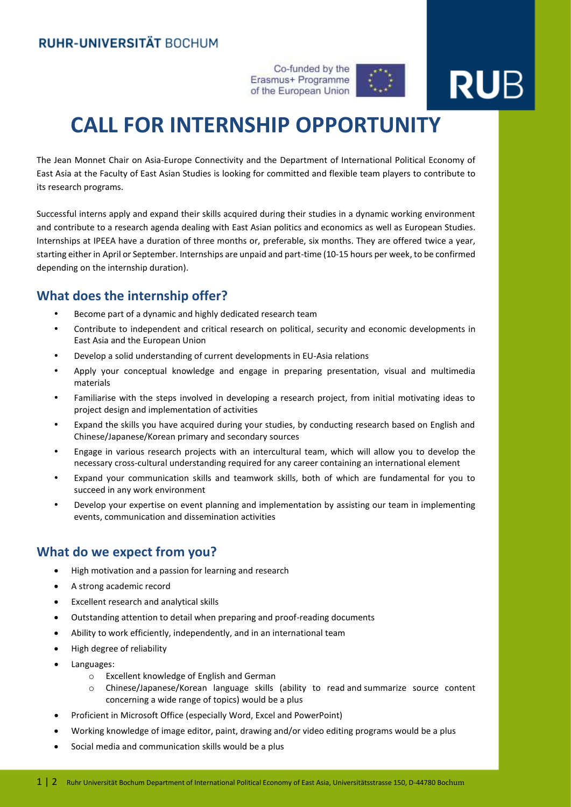Co-funded by the Erasmus+ Programme of the European Union



# **RU**B

## **CALL FOR INTERNSHIP OPPORTUNITY**

The Jean Monnet Chair on Asia-Europe Connectivity and the [Department of International Political Economy of](https://www.ruhr-uni-bochum.de/ipea/de/index.shtml)  [East Asia](https://www.ruhr-uni-bochum.de/ipea/de/index.shtml) at the Faculty of East Asian Studies is looking for committed and flexible team players to contribute to its research programs.

Successful interns apply and expand their skills acquired during their studies in a dynamic working environment and contribute to a research agenda dealing with East Asian politics and economics as well as European Studies. Internships at IPEEA have a duration of three months or, preferable, six months. They are offered twice a year, starting either in April or September. Internships are unpaid and part-time (10-15 hours per week, to be confirmed depending on the internship duration).

#### **What does the internship offer?**

- Become part of a dynamic and highly dedicated research team
- Contribute to independent and critical research on political, security and economic developments in East Asia and the European Union
- Develop a solid understanding of current developments in EU-Asia relations
- Apply your conceptual knowledge and engage in preparing presentation, visual and multimedia materials
- Familiarise with the steps involved in developing a research project, from initial motivating ideas to project design and implementation of activities
- Expand the skills you have acquired during your studies, by conducting research based on English and Chinese/Japanese/Korean primary and secondary sources
- Engage in various research projects with an intercultural team, which will allow you to develop the necessary cross-cultural understanding required for any career containing an international element
- Expand your communication skills and teamwork skills, both of which are fundamental for you to succeed in any work environment
- Develop your expertise on event planning and implementation by assisting our team in implementing events, communication and dissemination activities

#### **What do we expect from you?**

- High motivation and a passion for learning and research
- A strong academic record
- Excellent research and analytical skills
- Outstanding attention to detail when preparing and proof-reading documents
- Ability to work efficiently, independently, and in an international team
- High degree of reliability
- Languages:
	- o Excellent knowledge of English and German
	- o Chinese/Japanese/Korean language skills (ability to read and summarize source content concerning a wide range of topics) would be a plus
- Proficient in Microsoft Office (especially Word, Excel and PowerPoint)
- Working knowledge of image editor, paint, drawing and/or video editing programs would be a plus
- Social media and communication skills would be a plus